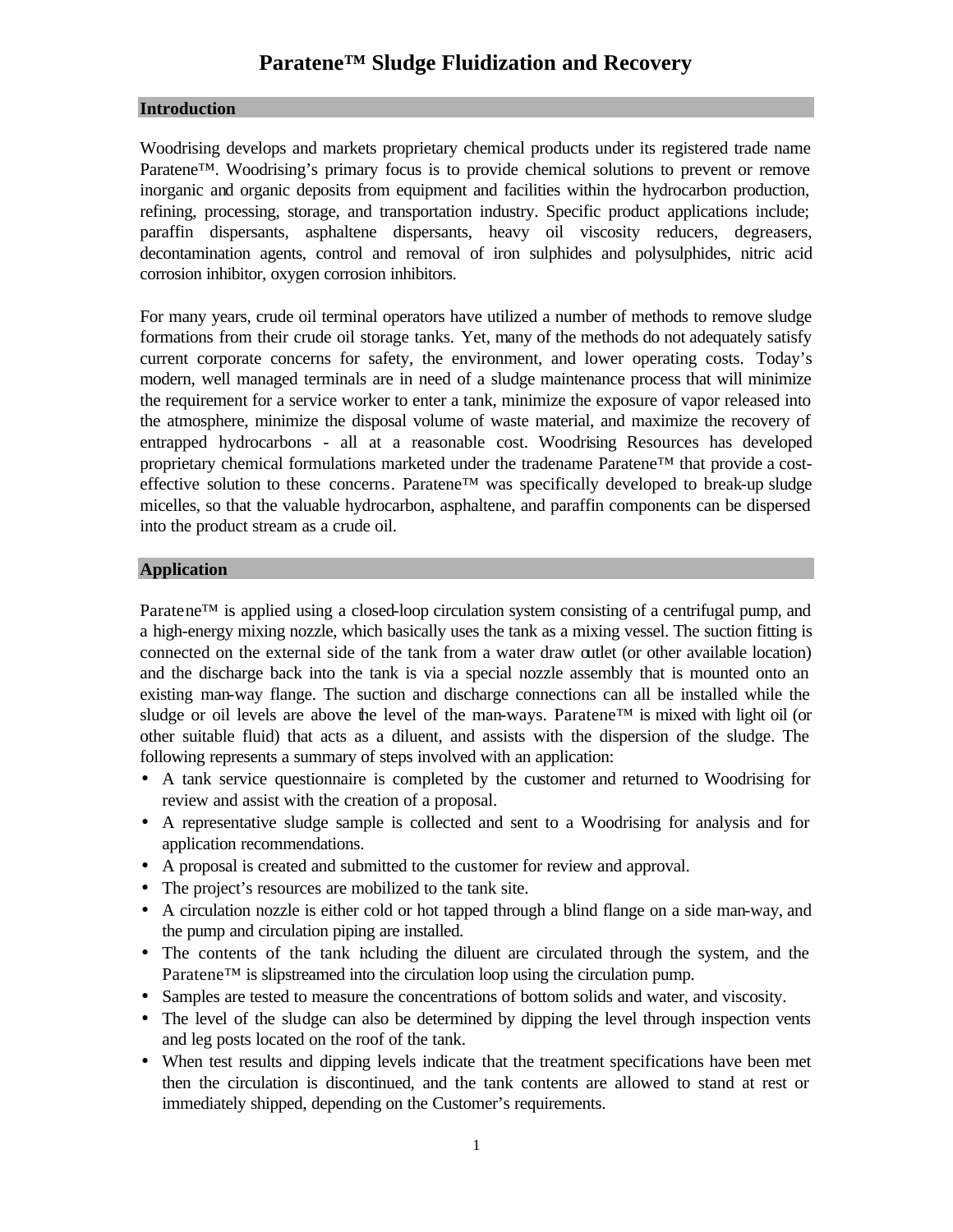# **Paratene™ Sludge Fluidization and Recovery**

#### **Introduction**

Woodrising develops and markets proprietary chemical products under its registered trade name Paratene™. Woodrising's primary focus is to provide chemical solutions to prevent or remove inorganic and organic deposits from equipment and facilities within the hydrocarbon production, refining, processing, storage, and transportation industry. Specific product applications include; paraffin dispersants, asphaltene dispersants, heavy oil viscosity reducers, degreasers, decontamination agents, control and removal of iron sulphides and polysulphides, nitric acid corrosion inhibitor, oxygen corrosion inhibitors.

For many years, crude oil terminal operators have utilized a number of methods to remove sludge formations from their crude oil storage tanks. Yet, many of the methods do not adequately satisfy current corporate concerns for safety, the environment, and lower operating costs. Today's modern, well managed terminals are in need of a sludge maintenance process that will minimize the requirement for a service worker to enter a tank, minimize the exposure of vapor released into the atmosphere, minimize the disposal volume of waste material, and maximize the recovery of entrapped hydrocarbons - all at a reasonable cost. Woodrising Resources has developed proprietary chemical formulations marketed under the tradename Paratene™ that provide a costeffective solution to these concerns. Paratene<sup>™</sup> was specifically developed to break-up sludge micelles, so that the valuable hydrocarbon, asphaltene, and paraffin components can be dispersed into the product stream as a crude oil.

#### **Application**

Paratene™ is applied using a closed-loop circulation system consisting of a centrifugal pump, and a high-energy mixing nozzle, which basically uses the tank as a mixing vessel. The suction fitting is connected on the external side of the tank from a water draw outlet (or other available location) and the discharge back into the tank is via a special nozzle assembly that is mounted onto an existing man-way flange. The suction and discharge connections can all be installed while the sludge or oil levels are above the level of the man-ways. Paratene™ is mixed with light oil (or other suitable fluid) that acts as a diluent, and assists with the dispersion of the sludge. The following represents a summary of steps involved with an application:

- A tank service questionnaire is completed by the customer and returned to Woodrising for review and assist with the creation of a proposal.
- A representative sludge sample is collected and sent to a Woodrising for analysis and for application recommendations.
- A proposal is created and submitted to the customer for review and approval.
- The project's resources are mobilized to the tank site.
- A circulation nozzle is either cold or hot tapped through a blind flange on a side man-way, and the pump and circulation piping are installed.
- The contents of the tank including the diluent are circulated through the system, and the Paratene™ is slipstreamed into the circulation loop using the circulation pump.
- Samples are tested to measure the concentrations of bottom solids and water, and viscosity.
- The level of the sludge can also be determined by dipping the level through inspection vents and leg posts located on the roof of the tank.
- When test results and dipping levels indicate that the treatment specifications have been met then the circulation is discontinued, and the tank contents are allowed to stand at rest or immediately shipped, depending on the Customer's requirements.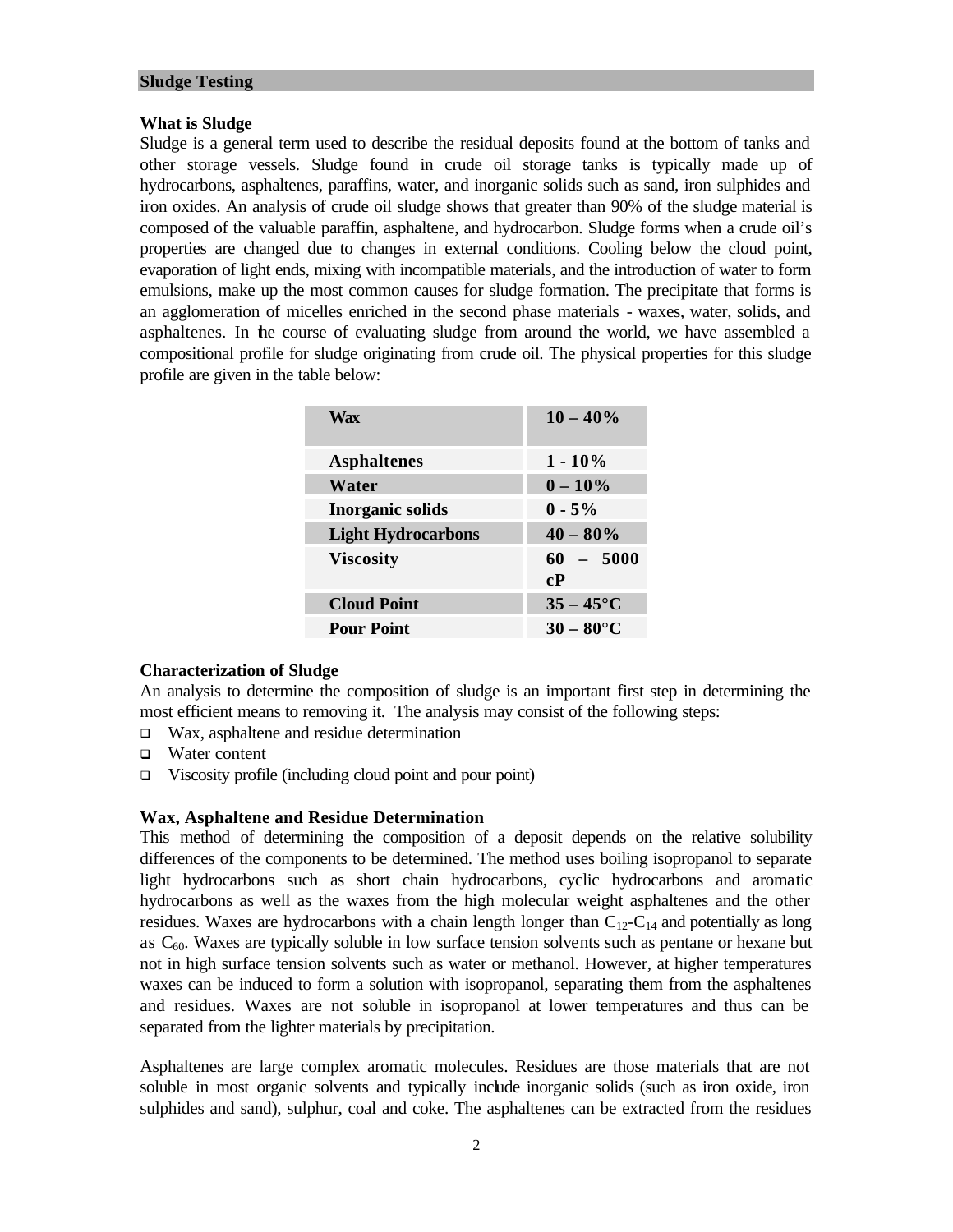#### **Sludge Testing**

#### **What is Sludge**

Sludge is a general term used to describe the residual deposits found at the bottom of tanks and other storage vessels. Sludge found in crude oil storage tanks is typically made up of hydrocarbons, asphaltenes, paraffins, water, and inorganic solids such as sand, iron sulphides and iron oxides. An analysis of crude oil sludge shows that greater than 90% of the sludge material is composed of the valuable paraffin, asphaltene, and hydrocarbon. Sludge forms when a crude oil's properties are changed due to changes in external conditions. Cooling below the cloud point, evaporation of light ends, mixing with incompatible materials, and the introduction of water to form emulsions, make up the most common causes for sludge formation. The precipitate that forms is an agglomeration of micelles enriched in the second phase materials - waxes, water, solids, and asphaltenes. In the course of evaluating sludge from around the world, we have assembled a compositional profile for sludge originating from crude oil. The physical properties for this sludge profile are given in the table below:

| Wax                       | $10 - 40\%$        |
|---------------------------|--------------------|
| <b>Asphaltenes</b>        | $1 - 10\%$         |
| Water                     | $0 - 10\%$         |
| <b>Inorganic solids</b>   | $0 - 5\%$          |
| <b>Light Hydrocarbons</b> | $40 - 80\%$        |
| <b>Viscosity</b>          | $60 - 5000$<br>cP  |
| <b>Cloud Point</b>        | $35 - 45^{\circ}C$ |
| <b>Pour Point</b>         | $30-80$ °C         |

#### **Characterization of Sludge**

An analysis to determine the composition of sludge is an important first step in determining the most efficient means to removing it. The analysis may consist of the following steps:

- $\Box$  Wax, asphaltene and residue determination
- $\Box$  Water content
- $\Box$  Viscosity profile (including cloud point and pour point)

#### **Wax, Asphaltene and Residue Determination**

This method of determining the composition of a deposit depends on the relative solubility differences of the components to be determined. The method uses boiling isopropanol to separate light hydrocarbons such as short chain hydrocarbons, cyclic hydrocarbons and aromatic hydrocarbons as well as the waxes from the high molecular weight asphaltenes and the other residues. Waxes are hydrocarbons with a chain length longer than  $C_{12}-C_{14}$  and potentially as long as  $C_{60}$ . Waxes are typically soluble in low surface tension solvents such as pentane or hexane but not in high surface tension solvents such as water or methanol. However, at higher temperatures waxes can be induced to form a solution with isopropanol, separating them from the asphaltenes and residues. Waxes are not soluble in isopropanol at lower temperatures and thus can be separated from the lighter materials by precipitation.

Asphaltenes are large complex aromatic molecules. Residues are those materials that are not soluble in most organic solvents and typically include inorganic solids (such as iron oxide, iron sulphides and sand), sulphur, coal and coke. The asphaltenes can be extracted from the residues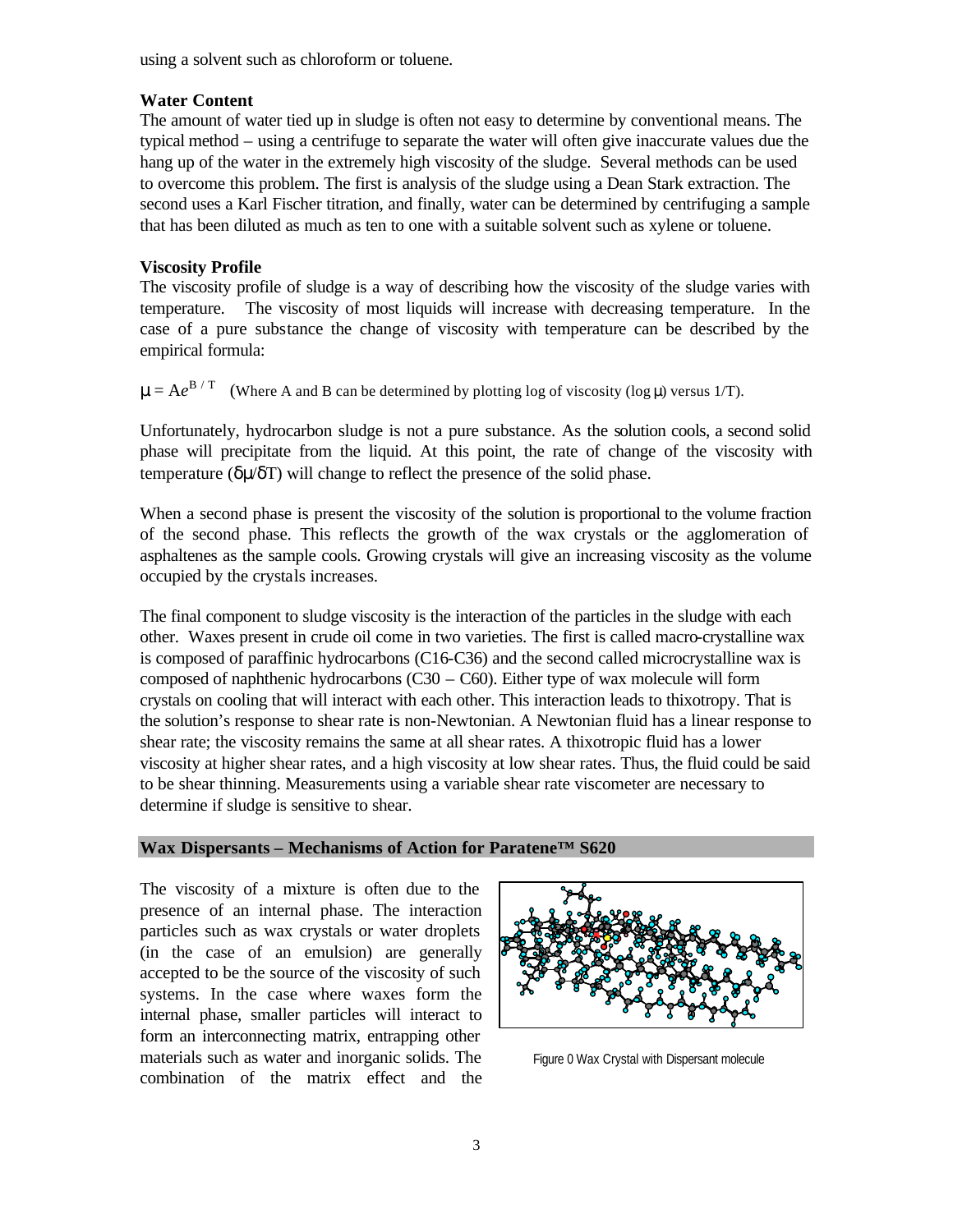using a solvent such as chloroform or toluene.

# **Water Content**

The amount of water tied up in sludge is often not easy to determine by conventional means. The typical method – using a centrifuge to separate the water will often give inaccurate values due the hang up of the water in the extremely high viscosity of the sludge. Several methods can be used to overcome this problem. The first is analysis of the sludge using a Dean Stark extraction. The second uses a Karl Fischer titration, and finally, water can be determined by centrifuging a sample that has been diluted as much as ten to one with a suitable solvent such as xylene or toluene.

# **Viscosity Profile**

The viscosity profile of sludge is a way of describing how the viscosity of the sludge varies with temperature. The viscosity of most liquids will increase with decreasing temperature. In the case of a pure substance the change of viscosity with temperature can be described by the empirical formula:

 $\mu = Ae^{B/T}$  (Where A and B can be determined by plotting log of viscosity (log  $\mu$ ) versus 1/T).

Unfortunately, hydrocarbon sludge is not a pure substance. As the solution cools, a second solid phase will precipitate from the liquid. At this point, the rate of change of the viscosity with temperature ( $\delta u/\delta T$ ) will change to reflect the presence of the solid phase.

When a second phase is present the viscosity of the solution is proportional to the volume fraction of the second phase. This reflects the growth of the wax crystals or the agglomeration of asphaltenes as the sample cools. Growing crystals will give an increasing viscosity as the volume occupied by the crystals increases.

The final component to sludge viscosity is the interaction of the particles in the sludge with each other. Waxes present in crude oil come in two varieties. The first is called macro-crystalline wax is composed of paraffinic hydrocarbons (C16-C36) and the second called microcrystalline wax is composed of naphthenic hydrocarbons  $(C30 - C60)$ . Either type of wax molecule will form crystals on cooling that will interact with each other. This interaction leads to thixotropy. That is the solution's response to shear rate is non-Newtonian. A Newtonian fluid has a linear response to shear rate; the viscosity remains the same at all shear rates. A thixotropic fluid has a lower viscosity at higher shear rates, and a high viscosity at low shear rates. Thus, the fluid could be said to be shear thinning. Measurements using a variable shear rate viscometer are necessary to determine if sludge is sensitive to shear.

#### **Wax Dispersants – Mechanisms of Action for Paratene™ S620**

The viscosity of a mixture is often due to the presence of an internal phase. The interaction particles such as wax crystals or water droplets (in the case of an emulsion) are generally accepted to be the source of the viscosity of such systems. In the case where waxes form the internal phase, smaller particles will interact to form an interconnecting matrix, entrapping other materials such as water and inorganic solids. The combination of the matrix effect and the



Figure 0 Wax Crystal with Dispersant molecule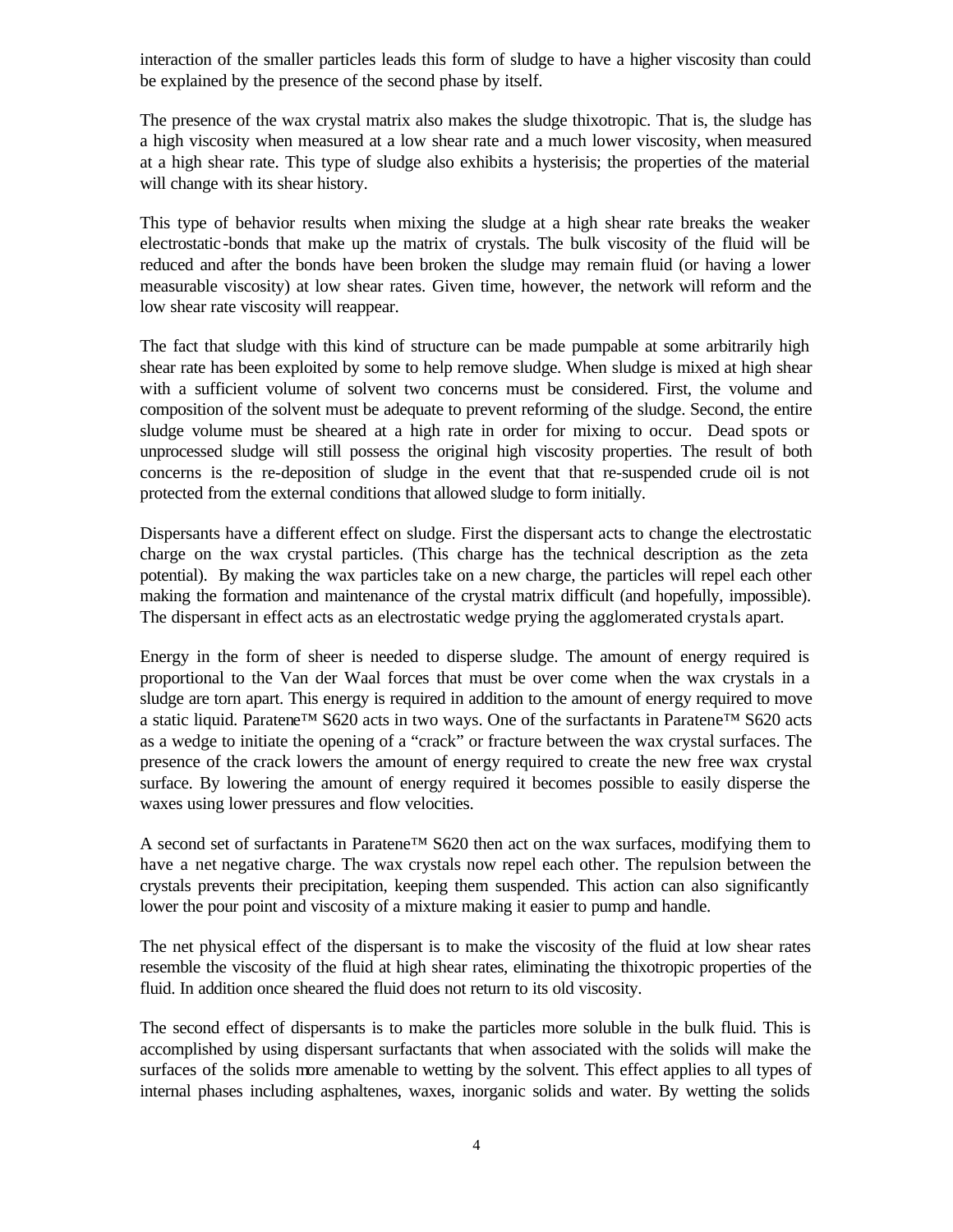interaction of the smaller particles leads this form of sludge to have a higher viscosity than could be explained by the presence of the second phase by itself.

The presence of the wax crystal matrix also makes the sludge thixotropic. That is, the sludge has a high viscosity when measured at a low shear rate and a much lower viscosity, when measured at a high shear rate. This type of sludge also exhibits a hysterisis; the properties of the material will change with its shear history.

This type of behavior results when mixing the sludge at a high shear rate breaks the weaker electrostatic-bonds that make up the matrix of crystals. The bulk viscosity of the fluid will be reduced and after the bonds have been broken the sludge may remain fluid (or having a lower measurable viscosity) at low shear rates. Given time, however, the network will reform and the low shear rate viscosity will reappear.

The fact that sludge with this kind of structure can be made pumpable at some arbitrarily high shear rate has been exploited by some to help remove sludge. When sludge is mixed at high shear with a sufficient volume of solvent two concerns must be considered. First, the volume and composition of the solvent must be adequate to prevent reforming of the sludge. Second, the entire sludge volume must be sheared at a high rate in order for mixing to occur. Dead spots or unprocessed sludge will still possess the original high viscosity properties. The result of both concerns is the re-deposition of sludge in the event that that re-suspended crude oil is not protected from the external conditions that allowed sludge to form initially.

Dispersants have a different effect on sludge. First the dispersant acts to change the electrostatic charge on the wax crystal particles. (This charge has the technical description as the zeta potential). By making the wax particles take on a new charge, the particles will repel each other making the formation and maintenance of the crystal matrix difficult (and hopefully, impossible). The dispersant in effect acts as an electrostatic wedge prying the agglomerated crystals apart.

Energy in the form of sheer is needed to disperse sludge. The amount of energy required is proportional to the Van der Waal forces that must be over come when the wax crystals in a sludge are torn apart. This energy is required in addition to the amount of energy required to move a static liquid. Paratene™ S620 acts in two ways. One of the surfactants in Paratene™ S620 acts as a wedge to initiate the opening of a "crack" or fracture between the wax crystal surfaces. The presence of the crack lowers the amount of energy required to create the new free wax crystal surface. By lowering the amount of energy required it becomes possible to easily disperse the waxes using lower pressures and flow velocities.

A second set of surfactants in Paratene™ S620 then act on the wax surfaces, modifying them to have a net negative charge. The wax crystals now repel each other. The repulsion between the crystals prevents their precipitation, keeping them suspended. This action can also significantly lower the pour point and viscosity of a mixture making it easier to pump and handle.

The net physical effect of the dispersant is to make the viscosity of the fluid at low shear rates resemble the viscosity of the fluid at high shear rates, eliminating the thixotropic properties of the fluid. In addition once sheared the fluid does not return to its old viscosity.

The second effect of dispersants is to make the particles more soluble in the bulk fluid. This is accomplished by using dispersant surfactants that when associated with the solids will make the surfaces of the solids more amenable to wetting by the solvent. This effect applies to all types of internal phases including asphaltenes, waxes, inorganic solids and water. By wetting the solids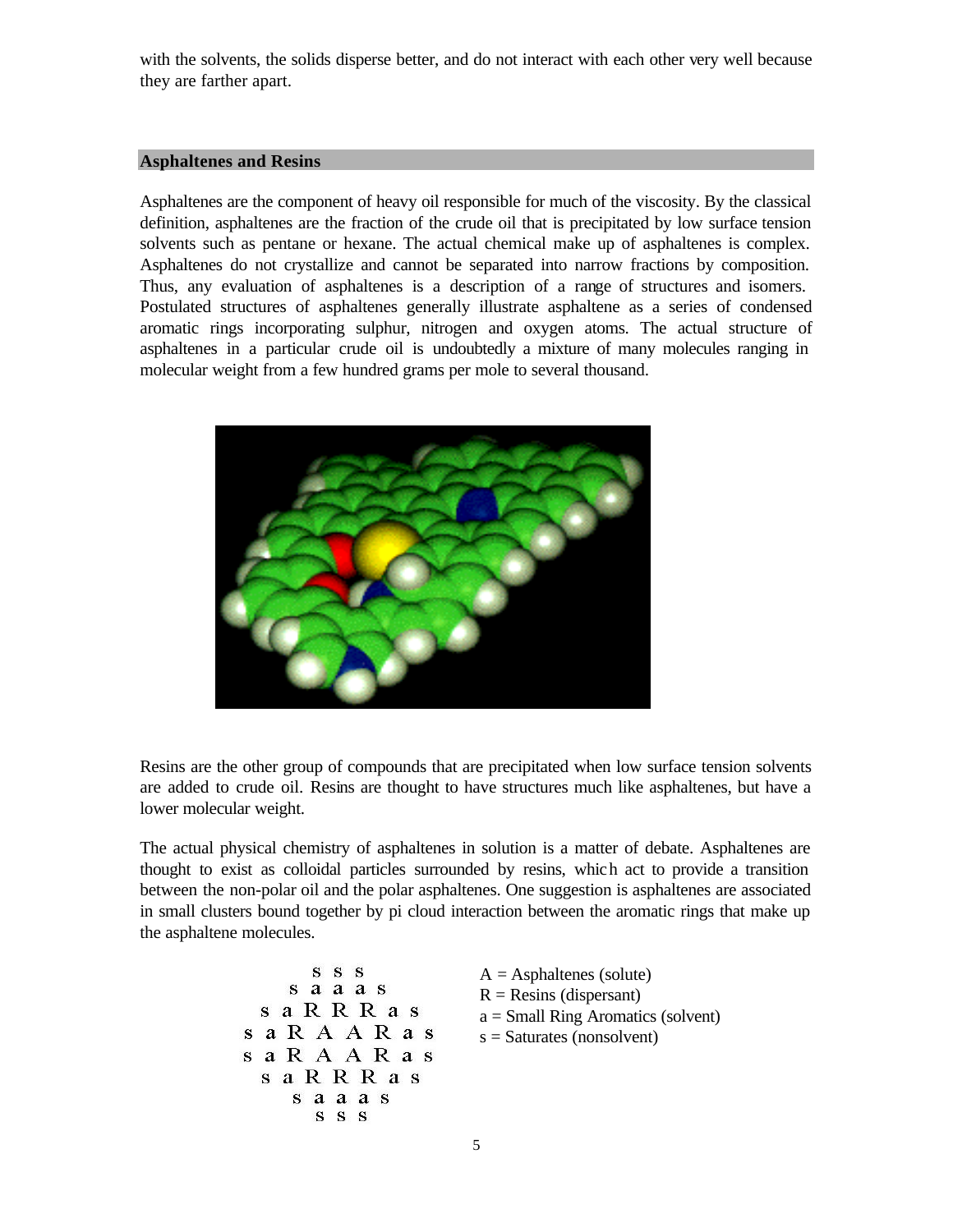with the solvents, the solids disperse better, and do not interact with each other very well because they are farther apart.

#### **Asphaltenes and Resins**

Asphaltenes are the component of heavy oil responsible for much of the viscosity. By the classical definition, asphaltenes are the fraction of the crude oil that is precipitated by low surface tension solvents such as pentane or hexane. The actual chemical make up of asphaltenes is complex. Asphaltenes do not crystallize and cannot be separated into narrow fractions by composition. Thus, any evaluation of asphaltenes is a description of a range of structures and isomers. Postulated structures of asphaltenes generally illustrate asphaltene as a series of condensed aromatic rings incorporating sulphur, nitrogen and oxygen atoms. The actual structure of asphaltenes in a particular crude oil is undoubtedly a mixture of many molecules ranging in molecular weight from a few hundred grams per mole to several thousand.



Resins are the other group of compounds that are precipitated when low surface tension solvents are added to crude oil. Resins are thought to have structures much like asphaltenes, but have a lower molecular weight.

The actual physical chemistry of asphaltenes in solution is a matter of debate. Asphaltenes are thought to exist as colloidal particles surrounded by resins, which act to provide a transition between the non-polar oil and the polar asphaltenes. One suggestion is asphaltenes are associated in small clusters bound together by pi cloud interaction between the aromatic rings that make up the asphaltene molecules.

| SSS<br>s a a a s<br>s a R R R a s<br>saRAARas<br>sa R A A R a s<br>s a R R R a s<br>s a a a s<br>S S S | $A =$ Asphaltenes (solute)<br>$R = Resins$ (dispersant)<br>$a = Small Ring$ Aromatics (solvent)<br>$s =$ Saturates (nonsolvent) |
|--------------------------------------------------------------------------------------------------------|---------------------------------------------------------------------------------------------------------------------------------|
|--------------------------------------------------------------------------------------------------------|---------------------------------------------------------------------------------------------------------------------------------|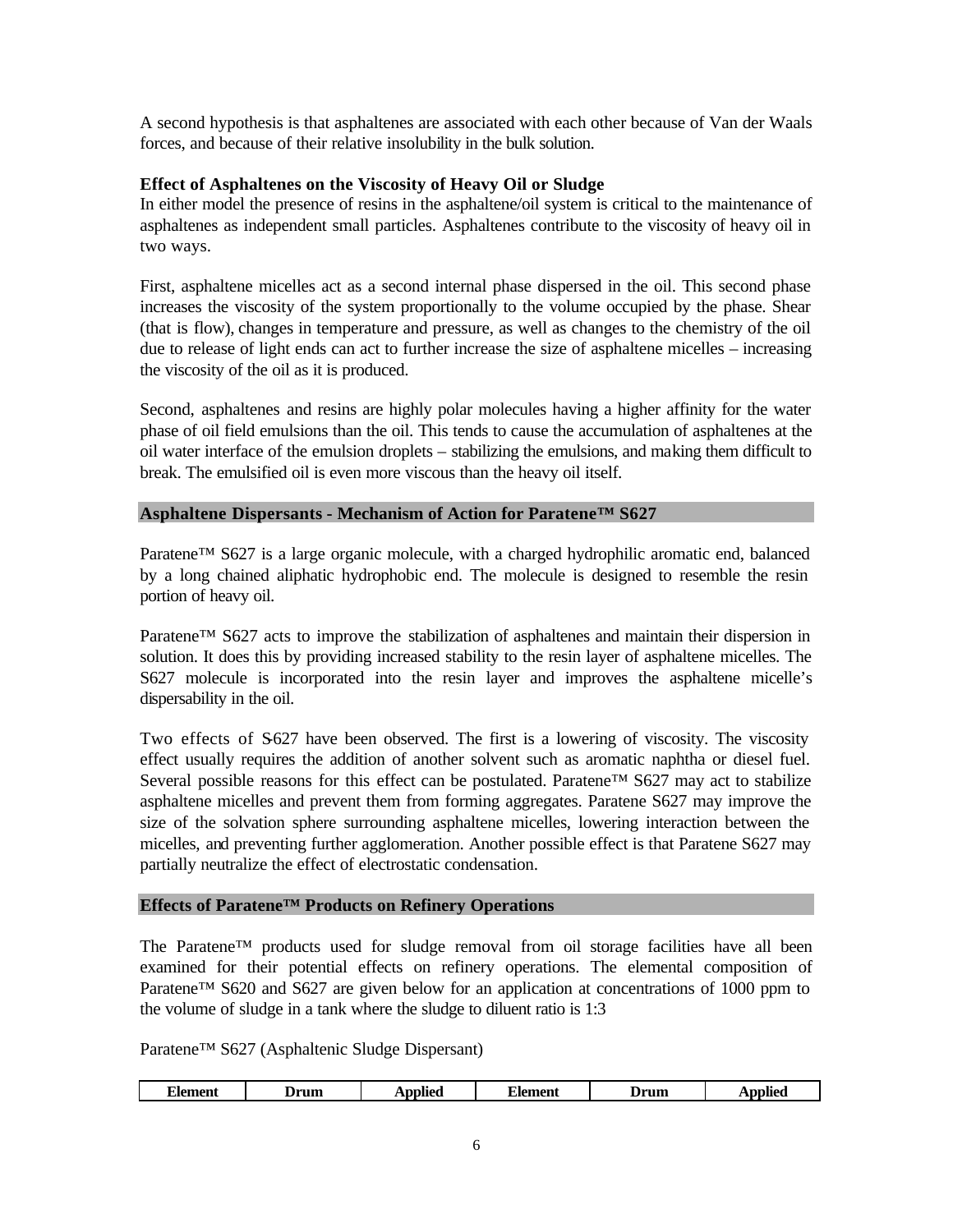A second hypothesis is that asphaltenes are associated with each other because of Van der Waals forces, and because of their relative insolubility in the bulk solution.

# **Effect of Asphaltenes on the Viscosity of Heavy Oil or Sludge**

In either model the presence of resins in the asphaltene/oil system is critical to the maintenance of asphaltenes as independent small particles. Asphaltenes contribute to the viscosity of heavy oil in two ways.

First, asphaltene micelles act as a second internal phase dispersed in the oil. This second phase increases the viscosity of the system proportionally to the volume occupied by the phase. Shear (that is flow), changes in temperature and pressure, as well as changes to the chemistry of the oil due to release of light ends can act to further increase the size of asphaltene micelles – increasing the viscosity of the oil as it is produced.

Second, asphaltenes and resins are highly polar molecules having a higher affinity for the water phase of oil field emulsions than the oil. This tends to cause the accumulation of asphaltenes at the oil water interface of the emulsion droplets – stabilizing the emulsions, and making them difficult to break. The emulsified oil is even more viscous than the heavy oil itself.

#### **Asphaltene Dispersants - Mechanism of Action for Paratene™ S627**

Paratene<sup>™</sup> S627 is a large organic molecule, with a charged hydrophilic aromatic end, balanced by a long chained aliphatic hydrophobic end. The molecule is designed to resemble the resin portion of heavy oil.

Paratene™ S627 acts to improve the stabilization of asphaltenes and maintain their dispersion in solution. It does this by providing increased stability to the resin layer of asphaltene micelles. The S627 molecule is incorporated into the resin layer and improves the asphaltene micelle's dispersability in the oil.

Two effects of  $S627$  have been observed. The first is a lowering of viscosity. The viscosity effect usually requires the addition of another solvent such as aromatic naphtha or diesel fuel. Several possible reasons for this effect can be postulated. Paratene<sup>™</sup> S627 may act to stabilize asphaltene micelles and prevent them from forming aggregates. Paratene S627 may improve the size of the solvation sphere surrounding asphaltene micelles, lowering interaction between the micelles, and preventing further agglomeration. Another possible effect is that Paratene S627 may partially neutralize the effect of electrostatic condensation.

#### **Effects of Paratene™ Products on Refinery Operations**

The Paratene™ products used for sludge removal from oil storage facilities have all been examined for their potential effects on refinery operations. The elemental composition of Paratene<sup>™</sup> S620 and S627 are given below for an application at concentrations of 1000 ppm to the volume of sludge in a tank where the sludge to diluent ratio is 1:3

Paratene™ S627 (Asphaltenic Sludge Dispersant)

| Alement<br>__ | Jrum | ⊾pplied | $\sim$<br>∆lement | Drum- | Appliec |
|---------------|------|---------|-------------------|-------|---------|
|---------------|------|---------|-------------------|-------|---------|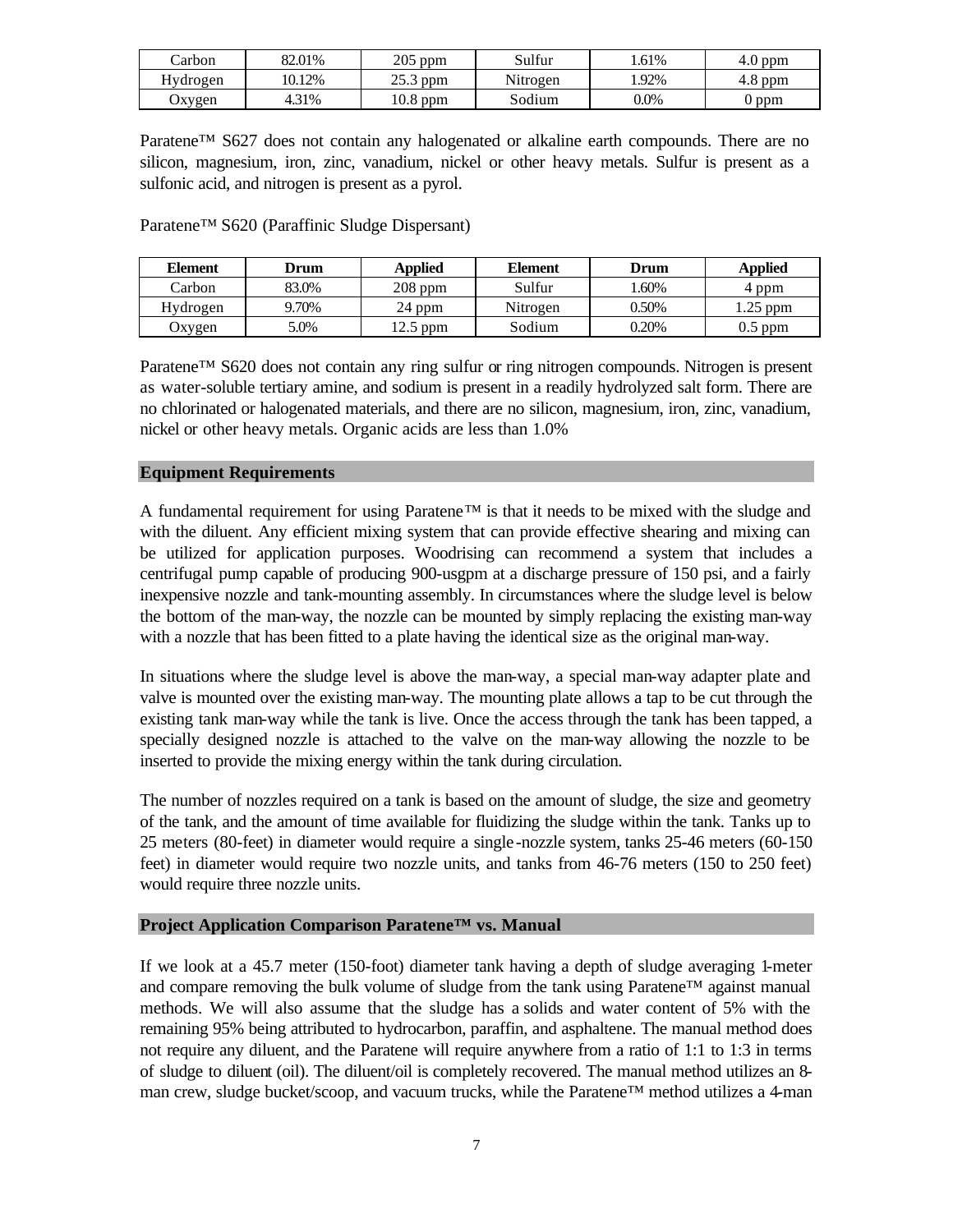| Carbon   | 82.01% | 205<br>ppm          | Sulfur   | .61%    | 4.0 ppm    |
|----------|--------|---------------------|----------|---------|------------|
| Hydrogen | 10.12% | つぐ つ<br>ppm<br>23.S | Nitrogen | .92%    | ppm<br>4.8 |
| Jxygen   | 4.31%  | $10.8$ ppm          | Sodium   | $0.0\%$ | ) ppm      |

Paratene<sup>™</sup> S627 does not contain any halogenated or alkaline earth compounds. There are no silicon, magnesium, iron, zinc, vanadium, nickel or other heavy metals. Sulfur is present as a sulfonic acid, and nitrogen is present as a pyrol.

Paratene™ S620 (Paraffinic Sludge Dispersant)

| <b>Element</b> | Drum  | <b>Applied</b> | Element  | Drum  | <b>Applied</b> |
|----------------|-------|----------------|----------|-------|----------------|
| Carbon         | 83.0% | $208$ ppm      | Sulfur   | .60%  | 4 ppm          |
| Hydrogen       | 9.70% | 24 ppm         | Nitrogen | 0.50% | .25 ppm        |
| Oxygen         | 5.0%  | 12.5 ppm       | Sodium   | 0.20% | $0.5$ ppm      |

Paratene™ S620 does not contain any ring sulfur or ring nitrogen compounds. Nitrogen is present as water-soluble tertiary amine, and sodium is present in a readily hydrolyzed salt form. There are no chlorinated or halogenated materials, and there are no silicon, magnesium, iron, zinc, vanadium, nickel or other heavy metals. Organic acids are less than 1.0%

#### **Equipment Requirements**

A fundamental requirement for using Paratene<sup>TM</sup> is that it needs to be mixed with the sludge and with the diluent. Any efficient mixing system that can provide effective shearing and mixing can be utilized for application purposes. Woodrising can recommend a system that includes a centrifugal pump capable of producing 900-usgpm at a discharge pressure of 150 psi, and a fairly inexpensive nozzle and tank-mounting assembly. In circumstances where the sludge level is below the bottom of the man-way, the nozzle can be mounted by simply replacing the existing man-way with a nozzle that has been fitted to a plate having the identical size as the original man-way.

In situations where the sludge level is above the man-way, a special man-way adapter plate and valve is mounted over the existing man-way. The mounting plate allows a tap to be cut through the existing tank man-way while the tank is live. Once the access through the tank has been tapped, a specially designed nozzle is attached to the valve on the man-way allowing the nozzle to be inserted to provide the mixing energy within the tank during circulation.

The number of nozzles required on a tank is based on the amount of sludge, the size and geometry of the tank, and the amount of time available for fluidizing the sludge within the tank. Tanks up to 25 meters (80-feet) in diameter would require a single -nozzle system, tanks 25-46 meters (60-150 feet) in diameter would require two nozzle units, and tanks from 46-76 meters (150 to 250 feet) would require three nozzle units.

# **Project Application Comparison Paratene™ vs. Manual**

If we look at a 45.7 meter (150-foot) diameter tank having a depth of sludge averaging 1-meter and compare removing the bulk volume of sludge from the tank using Paratene™ against manual methods. We will also assume that the sludge has a solids and water content of 5% with the remaining 95% being attributed to hydrocarbon, paraffin, and asphaltene. The manual method does not require any diluent, and the Paratene will require anywhere from a ratio of 1:1 to 1:3 in terms of sludge to diluent (oil). The diluent/oil is completely recovered. The manual method utilizes an 8 man crew, sludge bucket/scoop, and vacuum trucks, while the Paratene™ method utilizes a 4-man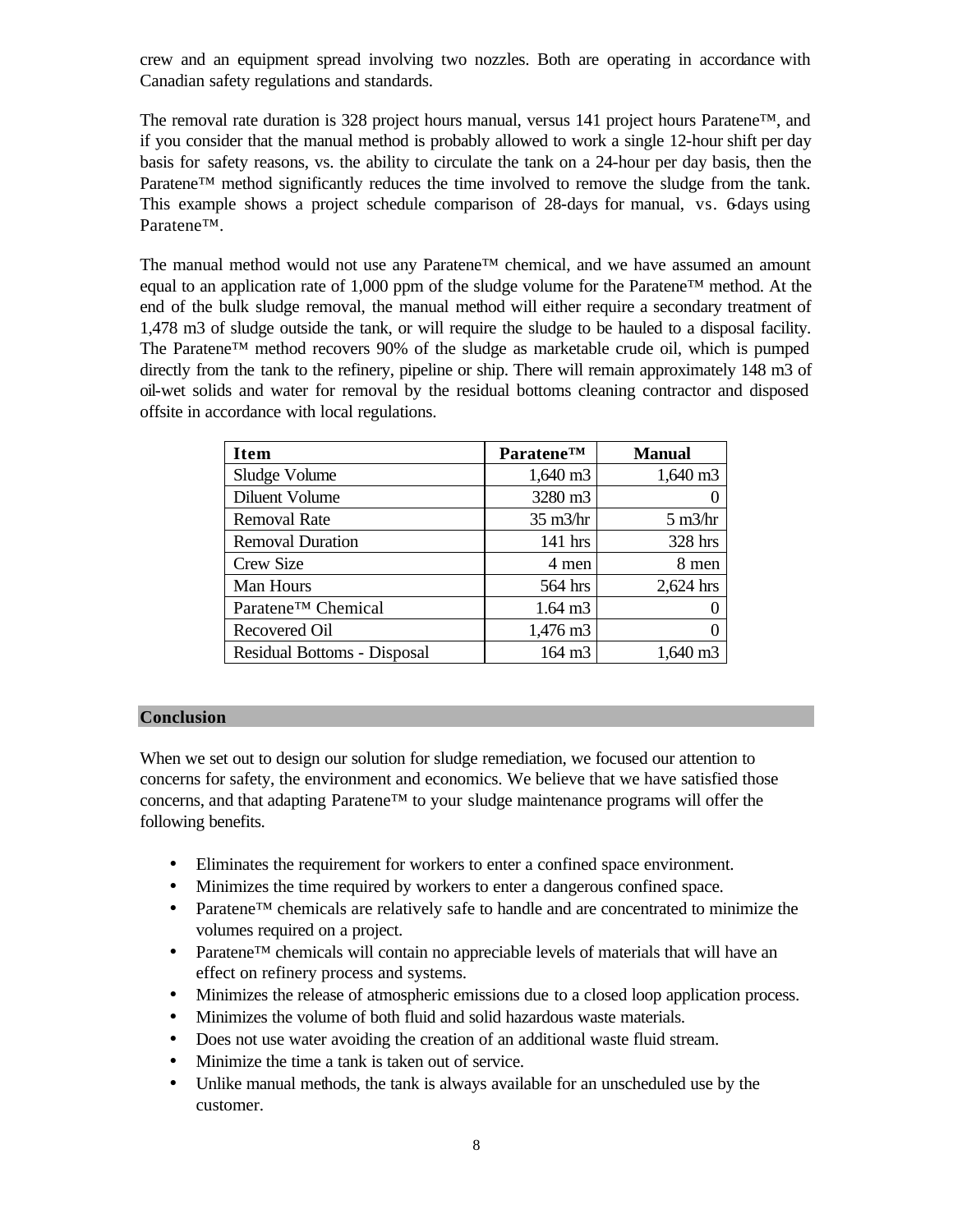crew and an equipment spread involving two nozzles. Both are operating in accordance with Canadian safety regulations and standards.

The removal rate duration is 328 project hours manual, versus 141 project hours Paratene™, and if you consider that the manual method is probably allowed to work a single 12-hour shift per day basis for safety reasons, vs. the ability to circulate the tank on a 24-hour per day basis, then the Paratene™ method significantly reduces the time involved to remove the sludge from the tank. This example shows a project schedule comparison of 28-days for manual, vs. 6-days using Paratene™.

The manual method would not use any Paratene™ chemical, and we have assumed an amount equal to an application rate of 1,000 ppm of the sludge volume for the Paratene<sup>™</sup> method. At the end of the bulk sludge removal, the manual method will either require a secondary treatment of 1,478 m3 of sludge outside the tank, or will require the sludge to be hauled to a disposal facility. The Paratene™ method recovers 90% of the sludge as marketable crude oil, which is pumped directly from the tank to the refinery, pipeline or ship. There will remain approximately 148 m3 of oil-wet solids and water for removal by the residual bottoms cleaning contractor and disposed offsite in accordance with local regulations.

| <b>Item</b>                 | <b>ParateneTM</b>   | <b>Manual</b>           |
|-----------------------------|---------------------|-------------------------|
| Sludge Volume               | 1,640 m3            | 1,640 m3                |
| Diluent Volume              | 3280 m3             |                         |
| <b>Removal Rate</b>         | $35 \text{ m}$ 3/hr | $5 \text{ m}$ 3/hr      |
| <b>Removal Duration</b>     | 141 hrs             | 328 hrs                 |
| Crew Size                   | 4 men               | 8 men                   |
| Man Hours                   | 564 hrs             | 2,624 hrs               |
| Paratene™ Chemical          | $1.64 \text{ m}$ 3  |                         |
| Recovered Oil               | 1,476 m3            |                         |
| Residual Bottoms - Disposal | 164 m3              | 1.640<br>m <sub>3</sub> |

#### **Conclusion**

When we set out to design our solution for sludge remediation, we focused our attention to concerns for safety, the environment and economics. We believe that we have satisfied those concerns, and that adapting  $P$ aratene<sup>™</sup> to your sludge maintenance programs will offer the following benefits.

- Eliminates the requirement for workers to enter a confined space environment.
- Minimizes the time required by workers to enter a dangerous confined space.
- Paratene<sup>™</sup> chemicals are relatively safe to handle and are concentrated to minimize the volumes required on a project.
- Paratene<sup>™</sup> chemicals will contain no appreciable levels of materials that will have an effect on refinery process and systems.
- Minimizes the release of atmospheric emissions due to a closed loop application process.
- Minimizes the volume of both fluid and solid hazardous waste materials.
- Does not use water avoiding the creation of an additional waste fluid stream.
- Minimize the time a tank is taken out of service.
- Unlike manual methods, the tank is always available for an unscheduled use by the customer.